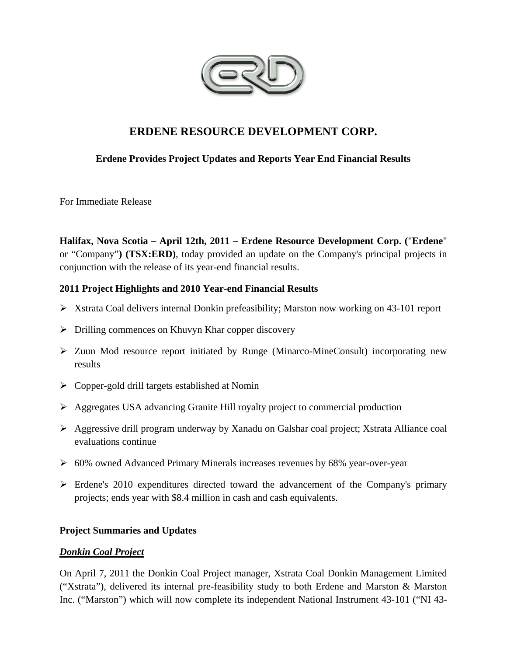

# **ERDENE RESOURCE DEVELOPMENT CORP.**

# **Erdene Provides Project Updates and Reports Year End Financial Results**

For Immediate Release

**Halifax, Nova Scotia – April 12th, 2011 – Erdene Resource Development Corp. (**"**Erdene**" or "Company"**) (TSX:ERD)**, today provided an update on the Company's principal projects in conjunction with the release of its year-end financial results.

# **2011 Project Highlights and 2010 Year-end Financial Results**

- Xstrata Coal delivers internal Donkin prefeasibility; Marston now working on 43-101 report
- $\triangleright$  Drilling commences on Khuvyn Khar copper discovery
- $\triangleright$  Zuun Mod resource report initiated by Runge (Minarco-MineConsult) incorporating new results
- $\triangleright$  Copper-gold drill targets established at Nomin
- Aggregates USA advancing Granite Hill royalty project to commercial production
- Aggressive drill program underway by Xanadu on Galshar coal project; Xstrata Alliance coal evaluations continue
- 60% owned Advanced Primary Minerals increases revenues by 68% year-over-year
- $\triangleright$  Erdene's 2010 expenditures directed toward the advancement of the Company's primary projects; ends year with \$8.4 million in cash and cash equivalents.

# **Project Summaries and Updates**

# *Donkin Coal Project*

On April 7, 2011 the Donkin Coal Project manager, Xstrata Coal Donkin Management Limited ("Xstrata"), delivered its internal pre-feasibility study to both Erdene and Marston & Marston Inc. ("Marston") which will now complete its independent National Instrument 43-101 ("NI 43-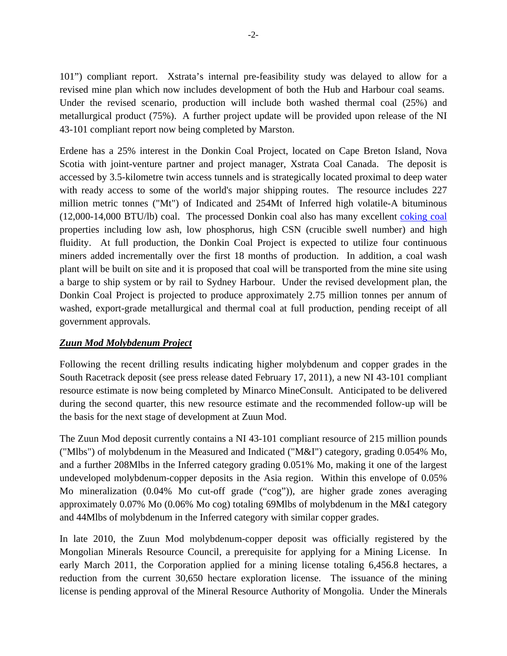101") compliant report. Xstrata's internal pre-feasibility study was delayed to allow for a revised mine plan which now includes development of both the Hub and Harbour coal seams. Under the revised scenario, production will include both washed thermal coal (25%) and metallurgical product (75%). A further project update will be provided upon release of the NI 43-101 compliant report now being completed by Marston.

Erdene has a 25% interest in the Donkin Coal Project, located on Cape Breton Island, Nova Scotia with joint-venture partner and project manager, Xstrata Coal Canada. The deposit is accessed by 3.5-kilometre twin access tunnels and is strategically located proximal to deep water with ready access to some of the world's major shipping routes. The resource includes 227 million metric tonnes ("Mt") of Indicated and 254Mt of Inferred high volatile-A bituminous (12,000-14,000 BTU/lb) coal. The processed Donkin coal also has many excellent coking coal properties including low ash, low phosphorus, high CSN (crucible swell number) and high fluidity. At full production, the Donkin Coal Project is expected to utilize four continuous miners added incrementally over the first 18 months of production. In addition, a coal wash plant will be built on site and it is proposed that coal will be transported from the mine site using a barge to ship system or by rail to Sydney Harbour. Under the revised development plan, the Donkin Coal Project is projected to produce approximately 2.75 million tonnes per annum of washed, export-grade metallurgical and thermal coal at full production, pending receipt of all government approvals.

# *Zuun Mod Molybdenum Project*

Following the recent drilling results indicating higher molybdenum and copper grades in the South Racetrack deposit (see press release dated February 17, 2011), a new NI 43-101 compliant resource estimate is now being completed by Minarco MineConsult. Anticipated to be delivered during the second quarter, this new resource estimate and the recommended follow-up will be the basis for the next stage of development at Zuun Mod.

The Zuun Mod deposit currently contains a NI 43-101 compliant resource of 215 million pounds ("Mlbs") of molybdenum in the Measured and Indicated ("M&I") category, grading 0.054% Mo, and a further 208Mlbs in the Inferred category grading 0.051% Mo, making it one of the largest undeveloped molybdenum-copper deposits in the Asia region. Within this envelope of 0.05% Mo mineralization (0.04% Mo cut-off grade ("cog")), are higher grade zones averaging approximately 0.07% Mo (0.06% Mo cog) totaling 69Mlbs of molybdenum in the M&I category and 44Mlbs of molybdenum in the Inferred category with similar copper grades.

In late 2010, the Zuun Mod molybdenum-copper deposit was officially registered by the Mongolian Minerals Resource Council, a prerequisite for applying for a Mining License. In early March 2011, the Corporation applied for a mining license totaling 6,456.8 hectares, a reduction from the current 30,650 hectare exploration license. The issuance of the mining license is pending approval of the Mineral Resource Authority of Mongolia. Under the Minerals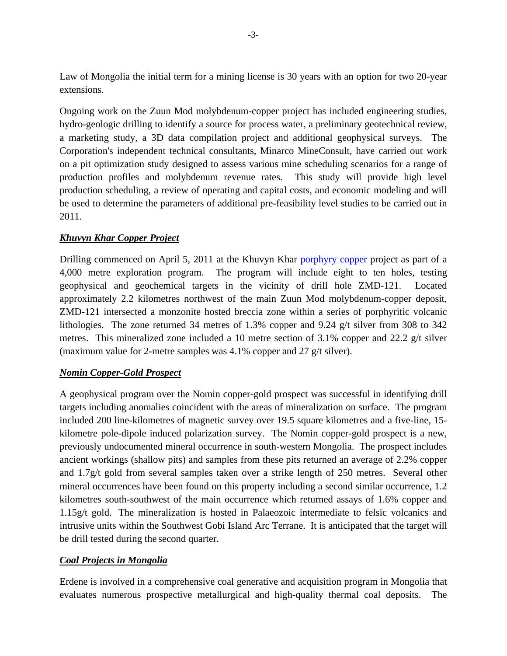Law of Mongolia the initial term for a mining license is 30 years with an option for two 20-year extensions.

Ongoing work on the Zuun Mod molybdenum-copper project has included engineering studies, hydro-geologic drilling to identify a source for process water, a preliminary geotechnical review, a marketing study, a 3D data compilation project and additional geophysical surveys. The Corporation's independent technical consultants, Minarco MineConsult, have carried out work on a pit optimization study designed to assess various mine scheduling scenarios for a range of production profiles and molybdenum revenue rates. This study will provide high level production scheduling, a review of operating and capital costs, and economic modeling and will be used to determine the parameters of additional pre-feasibility level studies to be carried out in 2011.

# *Khuvyn Khar Copper Project*

Drilling commenced on April 5, 2011 at the Khuvyn Khar porphyry copper project as part of a 4,000 metre exploration program. The program will include eight to ten holes, testing geophysical and geochemical targets in the vicinity of drill hole ZMD-121. Located approximately 2.2 kilometres northwest of the main Zuun Mod molybdenum-copper deposit, ZMD-121 intersected a monzonite hosted breccia zone within a series of porphyritic volcanic lithologies. The zone returned 34 metres of 1.3% copper and 9.24 g/t silver from 308 to 342 metres. This mineralized zone included a 10 metre section of 3.1% copper and 22.2 g/t silver (maximum value for 2-metre samples was 4.1% copper and 27 g/t silver).

# *Nomin Copper-Gold Prospect*

A geophysical program over the Nomin copper-gold prospect was successful in identifying drill targets including anomalies coincident with the areas of mineralization on surface. The program included 200 line-kilometres of magnetic survey over 19.5 square kilometres and a five-line, 15 kilometre pole-dipole induced polarization survey. The Nomin copper-gold prospect is a new, previously undocumented mineral occurrence in south-western Mongolia. The prospect includes ancient workings (shallow pits) and samples from these pits returned an average of 2.2% copper and 1.7g/t gold from several samples taken over a strike length of 250 metres. Several other mineral occurrences have been found on this property including a second similar occurrence, 1.2 kilometres south-southwest of the main occurrence which returned assays of 1.6% copper and 1.15g/t gold. The mineralization is hosted in Palaeozoic intermediate to felsic volcanics and intrusive units within the Southwest Gobi Island Arc Terrane. It is anticipated that the target will be drill tested during the second quarter.

# *Coal Projects in Mongolia*

Erdene is involved in a comprehensive coal generative and acquisition program in Mongolia that evaluates numerous prospective metallurgical and high-quality thermal coal deposits. The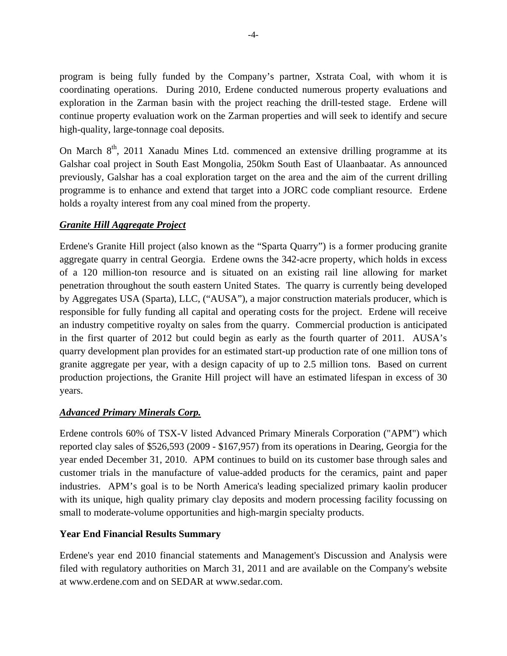program is being fully funded by the Company's partner, Xstrata Coal, with whom it is coordinating operations. During 2010, Erdene conducted numerous property evaluations and exploration in the Zarman basin with the project reaching the drill-tested stage. Erdene will continue property evaluation work on the Zarman properties and will seek to identify and secure high-quality, large-tonnage coal deposits.

On March  $8<sup>th</sup>$ , 2011 Xanadu Mines Ltd. commenced an extensive drilling programme at its Galshar coal project in South East Mongolia, 250km South East of Ulaanbaatar. As announced previously, Galshar has a coal exploration target on the area and the aim of the current drilling programme is to enhance and extend that target into a JORC code compliant resource. Erdene holds a royalty interest from any coal mined from the property.

# *Granite Hill Aggregate Project*

Erdene's Granite Hill project (also known as the "Sparta Quarry") is a former producing granite aggregate quarry in central Georgia. Erdene owns the 342-acre property, which holds in excess of a 120 million-ton resource and is situated on an existing rail line allowing for market penetration throughout the south eastern United States. The quarry is currently being developed by Aggregates USA (Sparta), LLC, ("AUSA"), a major construction materials producer, which is responsible for fully funding all capital and operating costs for the project. Erdene will receive an industry competitive royalty on sales from the quarry. Commercial production is anticipated in the first quarter of 2012 but could begin as early as the fourth quarter of 2011. AUSA's quarry development plan provides for an estimated start-up production rate of one million tons of granite aggregate per year, with a design capacity of up to 2.5 million tons. Based on current production projections, the Granite Hill project will have an estimated lifespan in excess of 30 years.

# *Advanced Primary Minerals Corp.*

Erdene controls 60% of TSX-V listed Advanced Primary Minerals Corporation ("APM") which reported clay sales of \$526,593 (2009 - \$167,957) from its operations in Dearing, Georgia for the year ended December 31, 2010. APM continues to build on its customer base through sales and customer trials in the manufacture of value-added products for the ceramics, paint and paper industries. APM's goal is to be North America's leading specialized primary kaolin producer with its unique, high quality primary clay deposits and modern processing facility focussing on small to moderate-volume opportunities and high-margin specialty products.

# **Year End Financial Results Summary**

Erdene's year end 2010 financial statements and Management's Discussion and Analysis were filed with regulatory authorities on March 31, 2011 and are available on the Company's website at www.erdene.com and on SEDAR at www.sedar.com.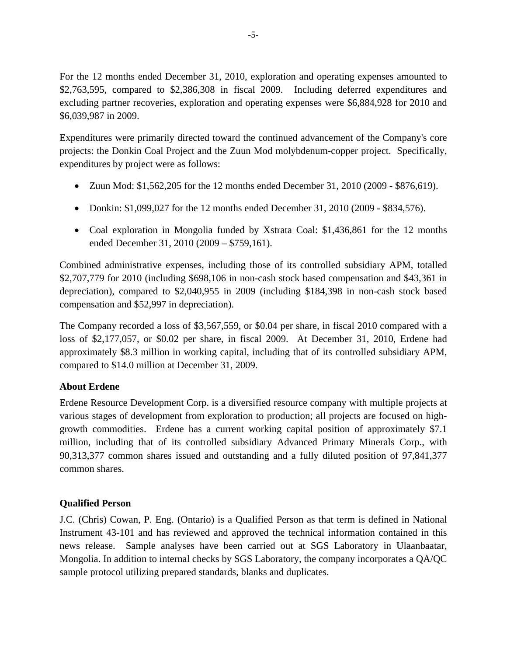For the 12 months ended December 31, 2010, exploration and operating expenses amounted to \$2,763,595, compared to \$2,386,308 in fiscal 2009. Including deferred expenditures and excluding partner recoveries, exploration and operating expenses were \$6,884,928 for 2010 and \$6,039,987 in 2009.

Expenditures were primarily directed toward the continued advancement of the Company's core projects: the Donkin Coal Project and the Zuun Mod molybdenum-copper project. Specifically, expenditures by project were as follows:

- Zuun Mod: \$1,562,205 for the 12 months ended December 31, 2010 (2009 \$876,619).
- Donkin: \$1,099,027 for the 12 months ended December 31, 2010 (2009 \$834,576).
- Coal exploration in Mongolia funded by Xstrata Coal: \$1,436,861 for the 12 months ended December 31, 2010 (2009 – \$759,161).

Combined administrative expenses, including those of its controlled subsidiary APM, totalled \$2,707,779 for 2010 (including \$698,106 in non-cash stock based compensation and \$43,361 in depreciation), compared to \$2,040,955 in 2009 (including \$184,398 in non-cash stock based compensation and \$52,997 in depreciation).

The Company recorded a loss of \$3,567,559, or \$0.04 per share, in fiscal 2010 compared with a loss of \$2,177,057, or \$0.02 per share, in fiscal 2009. At December 31, 2010, Erdene had approximately \$8.3 million in working capital, including that of its controlled subsidiary APM, compared to \$14.0 million at December 31, 2009.

# **About Erdene**

Erdene Resource Development Corp. is a diversified resource company with multiple projects at various stages of development from exploration to production; all projects are focused on highgrowth commodities. Erdene has a current working capital position of approximately \$7.1 million, including that of its controlled subsidiary Advanced Primary Minerals Corp., with 90,313,377 common shares issued and outstanding and a fully diluted position of 97,841,377 common shares.

# **Qualified Person**

J.C. (Chris) Cowan, P. Eng. (Ontario) is a Qualified Person as that term is defined in National Instrument 43-101 and has reviewed and approved the technical information contained in this news release. Sample analyses have been carried out at SGS Laboratory in Ulaanbaatar, Mongolia. In addition to internal checks by SGS Laboratory, the company incorporates a QA/QC sample protocol utilizing prepared standards, blanks and duplicates.